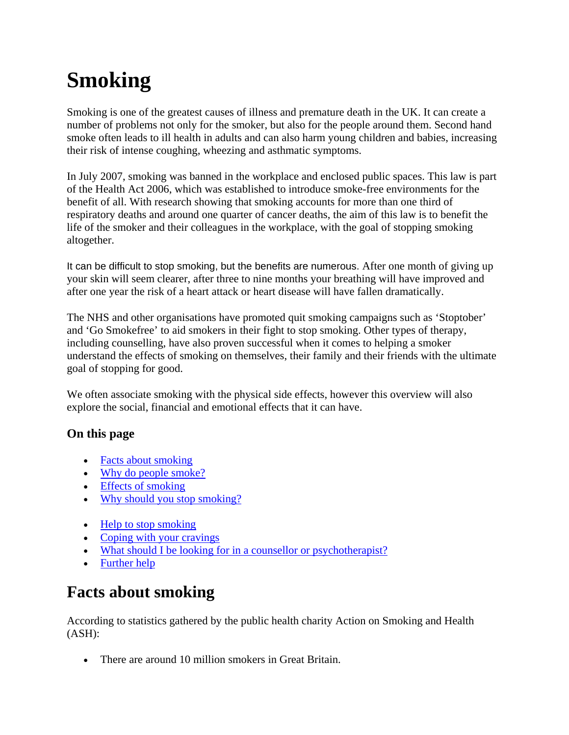# **Smoking**

Smoking is one of the greatest causes of illness and premature death in the UK. It can create a number of problems not only for the smoker, but also for the people around them. Second hand smoke often leads to ill health in adults and can also harm young children and babies, increasing their risk of intense coughing, wheezing and asthmatic symptoms.

In July 2007, smoking was banned in the workplace and enclosed public spaces. This law is part of the Health Act 2006, which was established to introduce smoke-free environments for the benefit of all. With research showing that smoking accounts for more than one third of respiratory deaths and around one quarter of cancer deaths, the aim of this law is to benefit the life of the smoker and their colleagues in the workplace, with the goal of stopping smoking altogether.

It can be difficult to stop smoking, but the benefits are numerous. After one month of giving up your skin will seem clearer, after three to nine months your breathing will have improved and after one year the risk of a heart attack or heart disease will have fallen dramatically.

The NHS and other organisations have promoted quit smoking campaigns such as 'Stoptober' and 'Go Smokefree' to aid smokers in their fight to stop smoking. Other types of therapy, including counselling, have also proven successful when it comes to helping a smoker understand the effects of smoking on themselves, their family and their friends with the ultimate goal of stopping for good.

We often associate smoking with the physical side effects, however this overview will also explore the social, financial and emotional effects that it can have.

## **On this page**

- Facts about smoking
- Why do people smoke?
- Effects of smoking
- Why should you stop smoking?
- Help to stop smoking
- Coping with your cravings
- What should I be looking for in a counsellor or psychotherapist?
- Further help

# **Facts about smoking**

According to statistics gathered by the public health charity Action on Smoking and Health (ASH):

• There are around 10 million smokers in Great Britain.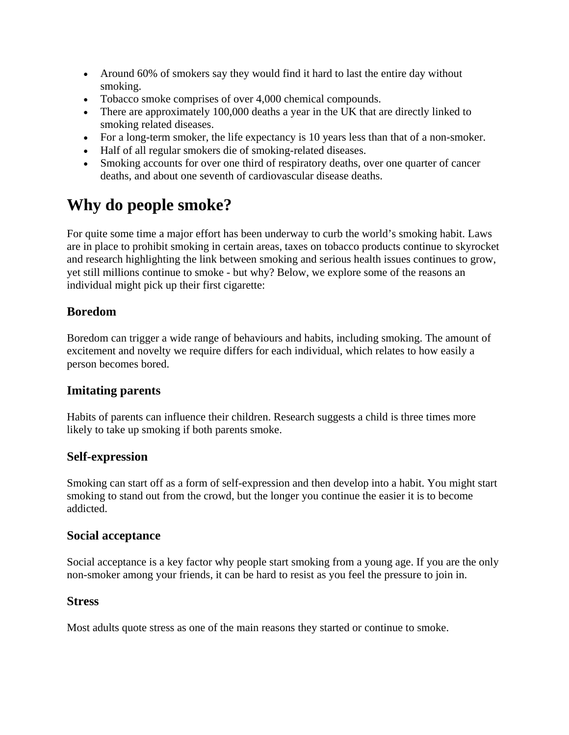- Around 60% of smokers say they would find it hard to last the entire day without smoking.
- Tobacco smoke comprises of over 4,000 chemical compounds.
- There are approximately 100,000 deaths a year in the UK that are directly linked to smoking related diseases.
- For a long-term smoker, the life expectancy is 10 years less than that of a non-smoker.
- Half of all regular smokers die of smoking-related diseases.
- Smoking accounts for over one third of respiratory deaths, over one quarter of cancer deaths, and about one seventh of cardiovascular disease deaths.

# **Why do people smoke?**

For quite some time a major effort has been underway to curb the world's smoking habit. Laws are in place to prohibit smoking in certain areas, taxes on tobacco products continue to skyrocket and research highlighting the link between smoking and serious health issues continues to grow, yet still millions continue to smoke - but why? Below, we explore some of the reasons an individual might pick up their first cigarette:

#### **Boredom**

Boredom can trigger a wide range of behaviours and habits, including smoking. The amount of excitement and novelty we require differs for each individual, which relates to how easily a person becomes bored.

#### **Imitating parents**

Habits of parents can influence their children. Research suggests a child is three times more likely to take up smoking if both parents smoke.

#### **Self-expression**

Smoking can start off as a form of self-expression and then develop into a habit. You might start smoking to stand out from the crowd, but the longer you continue the easier it is to become addicted.

#### **Social acceptance**

Social acceptance is a key factor why people start smoking from a young age. If you are the only non-smoker among your friends, it can be hard to resist as you feel the pressure to join in.

#### **Stress**

Most adults quote stress as one of the main reasons they started or continue to smoke.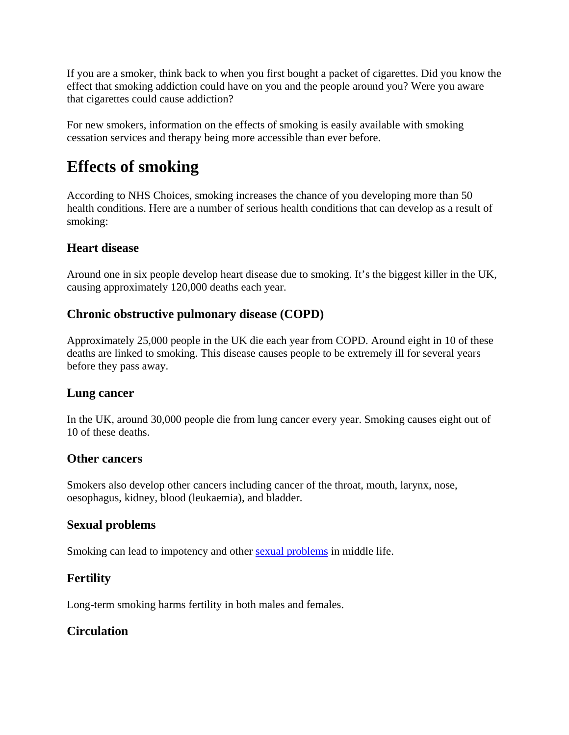If you are a smoker, think back to when you first bought a packet of cigarettes. Did you know the effect that smoking addiction could have on you and the people around you? Were you aware that cigarettes could cause addiction?

For new smokers, information on the effects of smoking is easily available with smoking cessation services and therapy being more accessible than ever before.

# **Effects of smoking**

According to NHS Choices, smoking increases the chance of you developing more than 50 health conditions. Here are a number of serious health conditions that can develop as a result of smoking:

#### **Heart disease**

Around one in six people develop heart disease due to smoking. It's the biggest killer in the UK, causing approximately 120,000 deaths each year.

#### **Chronic obstructive pulmonary disease (COPD)**

Approximately 25,000 people in the UK die each year from COPD. Around eight in 10 of these deaths are linked to smoking. This disease causes people to be extremely ill for several years before they pass away.

#### **Lung cancer**

In the UK, around 30,000 people die from lung cancer every year. Smoking causes eight out of 10 of these deaths.

#### **Other cancers**

Smokers also develop other cancers including cancer of the throat, mouth, larynx, nose, oesophagus, kidney, blood (leukaemia), and bladder.

#### **Sexual problems**

Smoking can lead to impotency and other sexual problems in middle life.

## **Fertility**

Long-term smoking harms fertility in both males and females.

## **Circulation**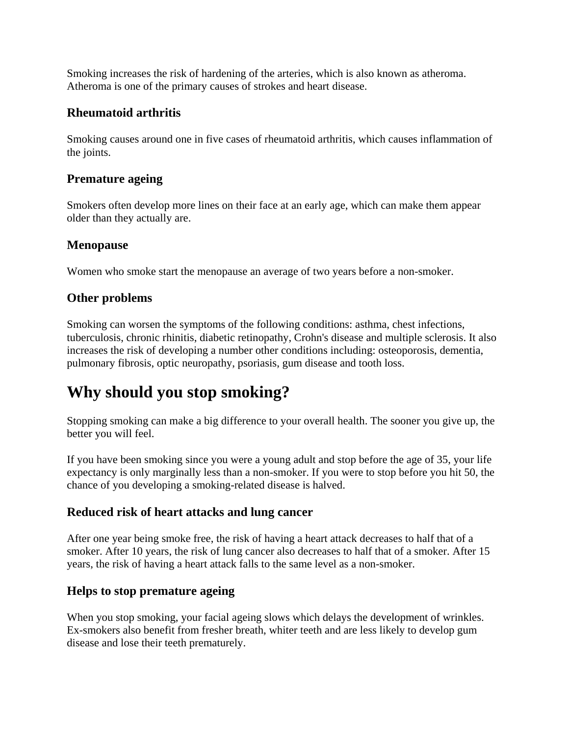Smoking increases the risk of hardening of the arteries, which is also known as atheroma. Atheroma is one of the primary causes of strokes and heart disease.

#### **Rheumatoid arthritis**

Smoking causes around one in five cases of rheumatoid arthritis, which causes inflammation of the joints.

#### **Premature ageing**

Smokers often develop more lines on their face at an early age, which can make them appear older than they actually are.

#### **Menopause**

Women who smoke start the menopause an average of two years before a non-smoker.

#### **Other problems**

Smoking can worsen the symptoms of the following conditions: asthma, chest infections, tuberculosis, chronic rhinitis, diabetic retinopathy, Crohn's disease and multiple sclerosis. It also increases the risk of developing a number other conditions including: osteoporosis, dementia, pulmonary fibrosis, optic neuropathy, psoriasis, gum disease and tooth loss.

# **Why should you stop smoking?**

Stopping smoking can make a big difference to your overall health. The sooner you give up, the better you will feel.

If you have been smoking since you were a young adult and stop before the age of 35, your life expectancy is only marginally less than a non-smoker. If you were to stop before you hit 50, the chance of you developing a smoking-related disease is halved.

#### **Reduced risk of heart attacks and lung cancer**

After one year being smoke free, the risk of having a heart attack decreases to half that of a smoker. After 10 years, the risk of lung cancer also decreases to half that of a smoker. After 15 years, the risk of having a heart attack falls to the same level as a non-smoker.

#### **Helps to stop premature ageing**

When you stop smoking, your facial ageing slows which delays the development of wrinkles. Ex-smokers also benefit from fresher breath, whiter teeth and are less likely to develop gum disease and lose their teeth prematurely.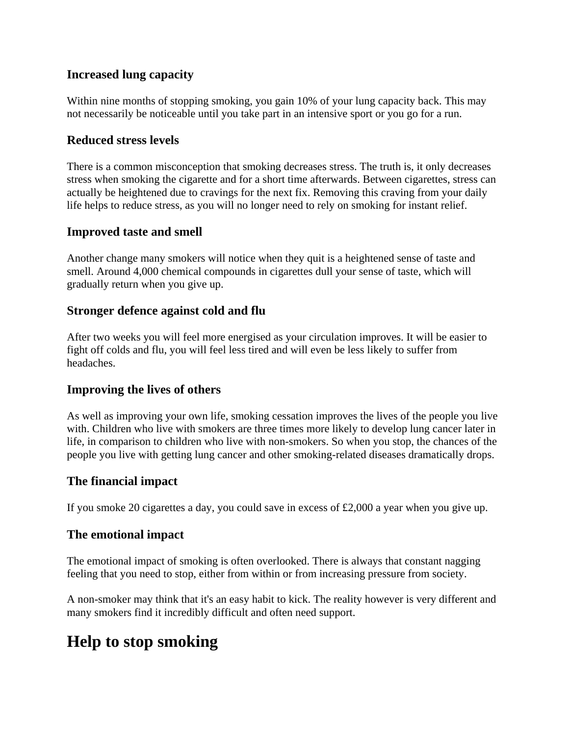#### **Increased lung capacity**

Within nine months of stopping smoking, you gain 10% of your lung capacity back. This may not necessarily be noticeable until you take part in an intensive sport or you go for a run.

#### **Reduced stress levels**

There is a common misconception that smoking decreases stress. The truth is, it only decreases stress when smoking the cigarette and for a short time afterwards. Between cigarettes, stress can actually be heightened due to cravings for the next fix. Removing this craving from your daily life helps to reduce stress, as you will no longer need to rely on smoking for instant relief.

#### **Improved taste and smell**

Another change many smokers will notice when they quit is a heightened sense of taste and smell. Around 4,000 chemical compounds in cigarettes dull your sense of taste, which will gradually return when you give up.

#### **Stronger defence against cold and flu**

After two weeks you will feel more energised as your circulation improves. It will be easier to fight off colds and flu, you will feel less tired and will even be less likely to suffer from headaches.

#### **Improving the lives of others**

As well as improving your own life, smoking cessation improves the lives of the people you live with. Children who live with smokers are three times more likely to develop lung cancer later in life, in comparison to children who live with non-smokers. So when you stop, the chances of the people you live with getting lung cancer and other smoking-related diseases dramatically drops.

#### **The financial impact**

If you smoke 20 cigarettes a day, you could save in excess of £2,000 a year when you give up.

#### **The emotional impact**

The emotional impact of smoking is often overlooked. There is always that constant nagging feeling that you need to stop, either from within or from increasing pressure from society.

A non-smoker may think that it's an easy habit to kick. The reality however is very different and many smokers find it incredibly difficult and often need support.

## **Help to stop smoking**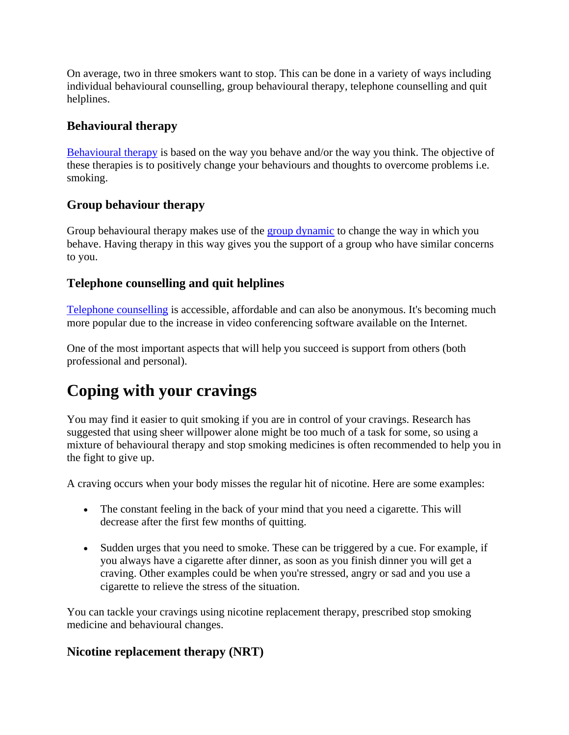On average, two in three smokers want to stop. This can be done in a variety of ways including individual behavioural counselling, group behavioural therapy, telephone counselling and quit helplines.

### **Behavioural therapy**

Behavioural therapy is based on the way you behave and/or the way you think. The objective of these therapies is to positively change your behaviours and thoughts to overcome problems i.e. smoking.

#### **Group behaviour therapy**

Group behavioural therapy makes use of the group dynamic to change the way in which you behave. Having therapy in this way gives you the support of a group who have similar concerns to you.

## **Telephone counselling and quit helplines**

Telephone counselling is accessible, affordable and can also be anonymous. It's becoming much more popular due to the increase in video conferencing software available on the Internet.

One of the most important aspects that will help you succeed is support from others (both professional and personal).

# **Coping with your cravings**

You may find it easier to quit smoking if you are in control of your cravings. Research has suggested that using sheer willpower alone might be too much of a task for some, so using a mixture of behavioural therapy and stop smoking medicines is often recommended to help you in the fight to give up.

A craving occurs when your body misses the regular hit of nicotine. Here are some examples:

- The constant feeling in the back of your mind that you need a cigarette. This will decrease after the first few months of quitting.
- Sudden urges that you need to smoke. These can be triggered by a cue. For example, if you always have a cigarette after dinner, as soon as you finish dinner you will get a craving. Other examples could be when you're stressed, angry or sad and you use a cigarette to relieve the stress of the situation.

You can tackle your cravings using nicotine replacement therapy, prescribed stop smoking medicine and behavioural changes.

## **Nicotine replacement therapy (NRT)**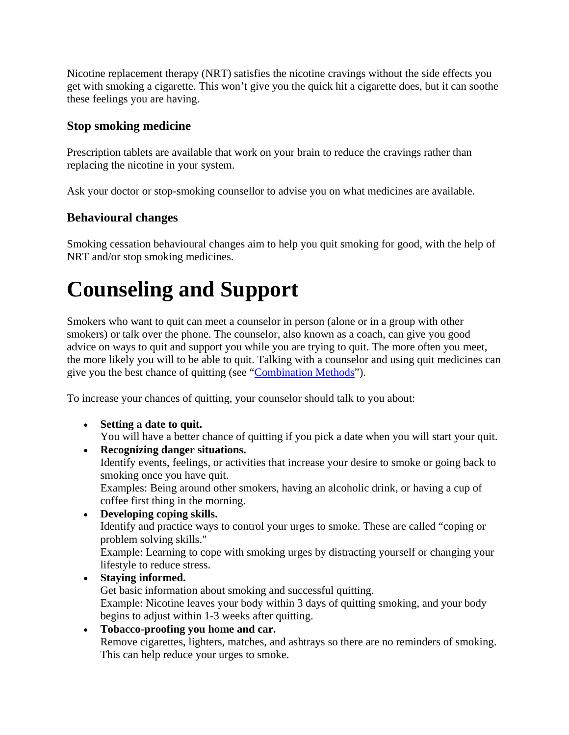Nicotine replacement therapy (NRT) satisfies the nicotine cravings without the side effects you get with smoking a cigarette. This won't give you the quick hit a cigarette does, but it can soothe these feelings you are having.

#### **Stop smoking medicine**

Prescription tablets are available that work on your brain to reduce the cravings rather than replacing the nicotine in your system.

Ask your doctor or stop-smoking counsellor to advise you on what medicines are available.

#### **Behavioural changes**

Smoking cessation behavioural changes aim to help you quit smoking for good, with the help of NRT and/or stop smoking medicines.

# **Counseling and Support**

Smokers who want to quit can meet a counselor in person (alone or in a group with other smokers) or talk over the phone. The counselor, also known as a coach, can give you good advice on ways to quit and support you while you are trying to quit. The more often you meet, the more likely you will to be able to quit. Talking with a counselor and using quit medicines can give you the best chance of quitting (see "Combination Methods").

To increase your chances of quitting, your counselor should talk to you about:

- **Setting a date to quit.** You will have a better chance of quitting if you pick a date when you will start your quit.
- **Recognizing danger situations.** Identify events, feelings, or activities that increase your desire to smoke or going back to smoking once you have quit. Examples: Being around other smokers, having an alcoholic drink, or having a cup of coffee first thing in the morning.
- **Developing coping skills.**

Identify and practice ways to control your urges to smoke. These are called "coping or problem solving skills."

Example: Learning to cope with smoking urges by distracting yourself or changing your lifestyle to reduce stress.

## **Staying informed.**

Get basic information about smoking and successful quitting. Example: Nicotine leaves your body within 3 days of quitting smoking, and your body begins to adjust within 1-3 weeks after quitting.

**Tobacco-proofing you home and car.**

Remove cigarettes, lighters, matches, and ashtrays so there are no reminders of smoking. This can help reduce your urges to smoke.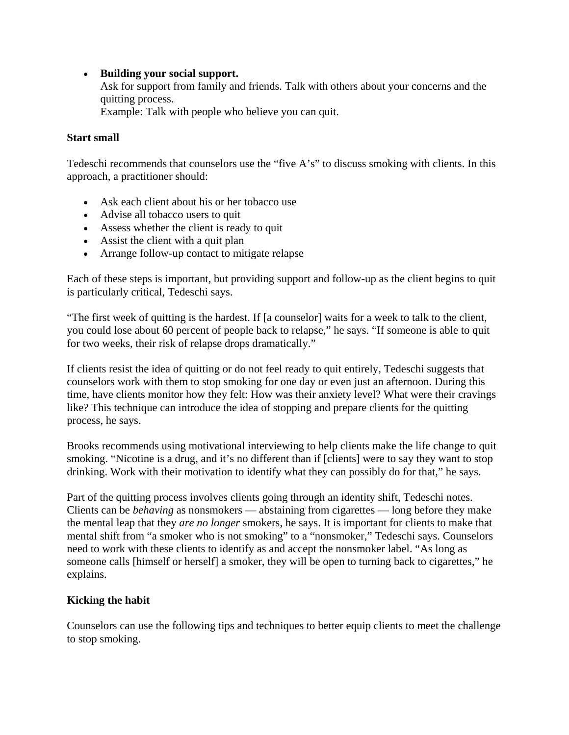#### **Building your social support.**

Ask for support from family and friends. Talk with others about your concerns and the quitting process.

Example: Talk with people who believe you can quit.

#### **Start small**

Tedeschi recommends that counselors use the "five A's" to discuss smoking with clients. In this approach, a practitioner should:

- Ask each client about his or her tobacco use
- Advise all tobacco users to quit
- Assess whether the client is ready to quit
- Assist the client with a quit plan
- Arrange follow-up contact to mitigate relapse

Each of these steps is important, but providing support and follow-up as the client begins to quit is particularly critical, Tedeschi says.

"The first week of quitting is the hardest. If [a counselor] waits for a week to talk to the client, you could lose about 60 percent of people back to relapse," he says. "If someone is able to quit for two weeks, their risk of relapse drops dramatically."

If clients resist the idea of quitting or do not feel ready to quit entirely, Tedeschi suggests that counselors work with them to stop smoking for one day or even just an afternoon. During this time, have clients monitor how they felt: How was their anxiety level? What were their cravings like? This technique can introduce the idea of stopping and prepare clients for the quitting process, he says.

Brooks recommends using motivational interviewing to help clients make the life change to quit smoking. "Nicotine is a drug, and it's no different than if [clients] were to say they want to stop drinking. Work with their motivation to identify what they can possibly do for that," he says.

Part of the quitting process involves clients going through an identity shift, Tedeschi notes. Clients can be *behaving* as nonsmokers — abstaining from cigarettes — long before they make the mental leap that they *are no longer* smokers, he says. It is important for clients to make that mental shift from "a smoker who is not smoking" to a "nonsmoker," Tedeschi says. Counselors need to work with these clients to identify as and accept the nonsmoker label. "As long as someone calls [himself or herself] a smoker, they will be open to turning back to cigarettes," he explains.

#### **Kicking the habit**

Counselors can use the following tips and techniques to better equip clients to meet the challenge to stop smoking.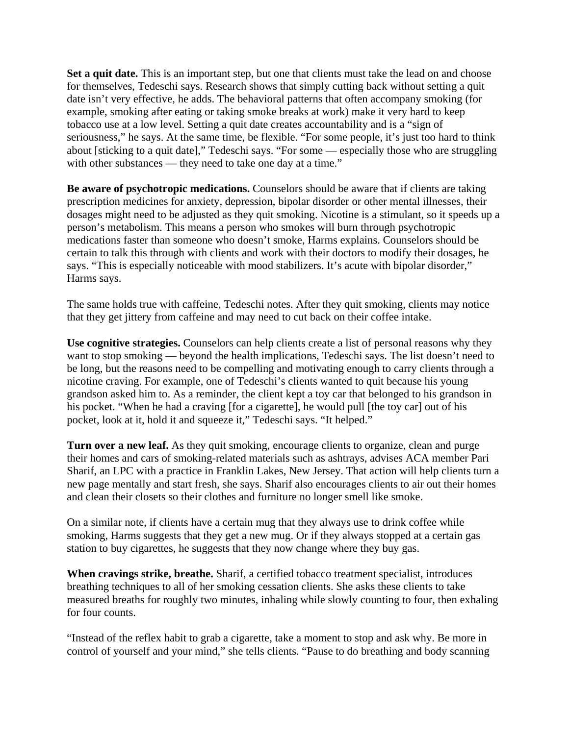**Set a quit date.** This is an important step, but one that clients must take the lead on and choose for themselves, Tedeschi says. Research shows that simply cutting back without setting a quit date isn't very effective, he adds. The behavioral patterns that often accompany smoking (for example, smoking after eating or taking smoke breaks at work) make it very hard to keep tobacco use at a low level. Setting a quit date creates accountability and is a "sign of seriousness," he says. At the same time, be flexible. "For some people, it's just too hard to think about [sticking to a quit date]," Tedeschi says. "For some — especially those who are struggling with other substances — they need to take one day at a time."

**Be aware of psychotropic medications.** Counselors should be aware that if clients are taking prescription medicines for anxiety, depression, bipolar disorder or other mental illnesses, their dosages might need to be adjusted as they quit smoking. Nicotine is a stimulant, so it speeds up a person's metabolism. This means a person who smokes will burn through psychotropic medications faster than someone who doesn't smoke, Harms explains. Counselors should be certain to talk this through with clients and work with their doctors to modify their dosages, he says. "This is especially noticeable with mood stabilizers. It's acute with bipolar disorder," Harms says.

The same holds true with caffeine, Tedeschi notes. After they quit smoking, clients may notice that they get jittery from caffeine and may need to cut back on their coffee intake.

**Use cognitive strategies.** Counselors can help clients create a list of personal reasons why they want to stop smoking — beyond the health implications, Tedeschi says. The list doesn't need to be long, but the reasons need to be compelling and motivating enough to carry clients through a nicotine craving. For example, one of Tedeschi's clients wanted to quit because his young grandson asked him to. As a reminder, the client kept a toy car that belonged to his grandson in his pocket. "When he had a craving [for a cigarette], he would pull [the toy car] out of his pocket, look at it, hold it and squeeze it," Tedeschi says. "It helped."

**Turn over a new leaf.** As they quit smoking, encourage clients to organize, clean and purge their homes and cars of smoking-related materials such as ashtrays, advises ACA member Pari Sharif, an LPC with a practice in Franklin Lakes, New Jersey. That action will help clients turn a new page mentally and start fresh, she says. Sharif also encourages clients to air out their homes and clean their closets so their clothes and furniture no longer smell like smoke.

On a similar note, if clients have a certain mug that they always use to drink coffee while smoking, Harms suggests that they get a new mug. Or if they always stopped at a certain gas station to buy cigarettes, he suggests that they now change where they buy gas.

**When cravings strike, breathe.** Sharif, a certified tobacco treatment specialist, introduces breathing techniques to all of her smoking cessation clients. She asks these clients to take measured breaths for roughly two minutes, inhaling while slowly counting to four, then exhaling for four counts.

"Instead of the reflex habit to grab a cigarette, take a moment to stop and ask why. Be more in control of yourself and your mind," she tells clients. "Pause to do breathing and body scanning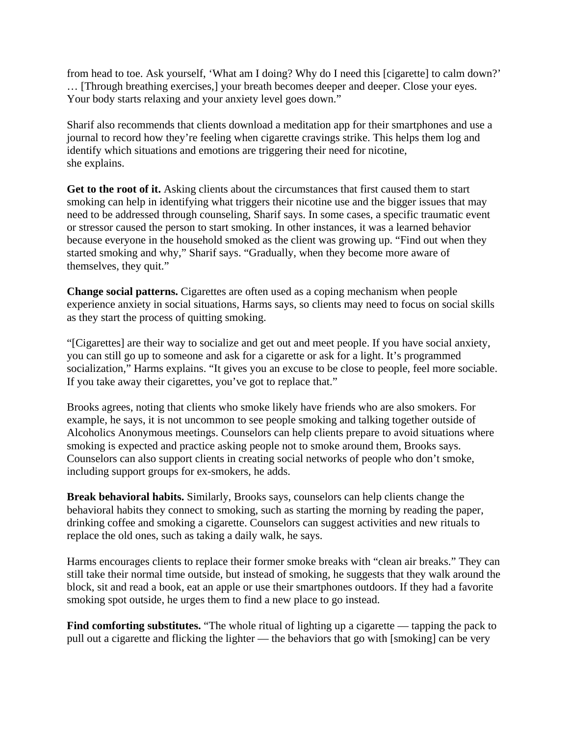from head to toe. Ask yourself, 'What am I doing? Why do I need this [cigarette] to calm down?' … [Through breathing exercises,] your breath becomes deeper and deeper. Close your eyes. Your body starts relaxing and your anxiety level goes down."

Sharif also recommends that clients download a meditation app for their smartphones and use a journal to record how they're feeling when cigarette cravings strike. This helps them log and identify which situations and emotions are triggering their need for nicotine, she explains.

**Get to the root of it.** Asking clients about the circumstances that first caused them to start smoking can help in identifying what triggers their nicotine use and the bigger issues that may need to be addressed through counseling, Sharif says. In some cases, a specific traumatic event or stressor caused the person to start smoking. In other instances, it was a learned behavior because everyone in the household smoked as the client was growing up. "Find out when they started smoking and why," Sharif says. "Gradually, when they become more aware of themselves, they quit."

**Change social patterns.** Cigarettes are often used as a coping mechanism when people experience anxiety in social situations, Harms says, so clients may need to focus on social skills as they start the process of quitting smoking.

"[Cigarettes] are their way to socialize and get out and meet people. If you have social anxiety, you can still go up to someone and ask for a cigarette or ask for a light. It's programmed socialization," Harms explains. "It gives you an excuse to be close to people, feel more sociable. If you take away their cigarettes, you've got to replace that."

Brooks agrees, noting that clients who smoke likely have friends who are also smokers. For example, he says, it is not uncommon to see people smoking and talking together outside of Alcoholics Anonymous meetings. Counselors can help clients prepare to avoid situations where smoking is expected and practice asking people not to smoke around them, Brooks says. Counselors can also support clients in creating social networks of people who don't smoke, including support groups for ex-smokers, he adds.

**Break behavioral habits.** Similarly, Brooks says, counselors can help clients change the behavioral habits they connect to smoking, such as starting the morning by reading the paper, drinking coffee and smoking a cigarette. Counselors can suggest activities and new rituals to replace the old ones, such as taking a daily walk, he says.

Harms encourages clients to replace their former smoke breaks with "clean air breaks." They can still take their normal time outside, but instead of smoking, he suggests that they walk around the block, sit and read a book, eat an apple or use their smartphones outdoors. If they had a favorite smoking spot outside, he urges them to find a new place to go instead.

Find comforting substitutes. "The whole ritual of lighting up a cigarette — tapping the pack to pull out a cigarette and flicking the lighter — the behaviors that go with [smoking] can be very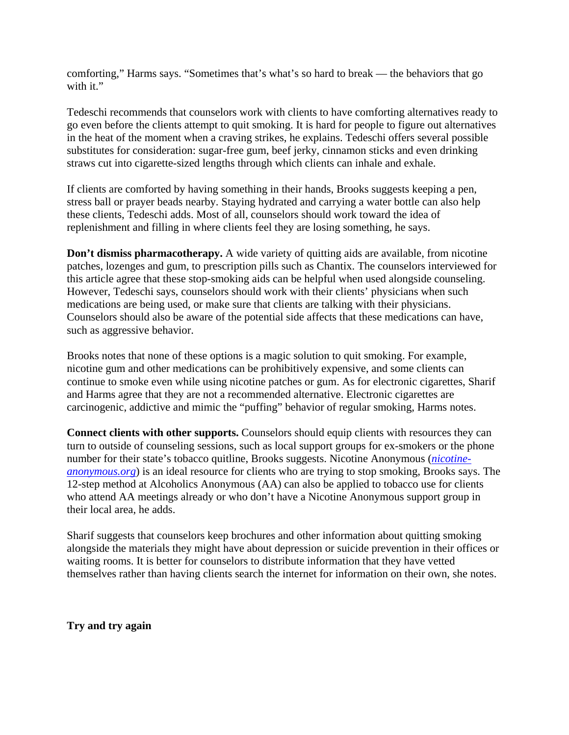comforting," Harms says. "Sometimes that's what's so hard to break — the behaviors that go with it."

Tedeschi recommends that counselors work with clients to have comforting alternatives ready to go even before the clients attempt to quit smoking. It is hard for people to figure out alternatives in the heat of the moment when a craving strikes, he explains. Tedeschi offers several possible substitutes for consideration: sugar-free gum, beef jerky, cinnamon sticks and even drinking straws cut into cigarette-sized lengths through which clients can inhale and exhale.

If clients are comforted by having something in their hands, Brooks suggests keeping a pen, stress ball or prayer beads nearby. Staying hydrated and carrying a water bottle can also help these clients, Tedeschi adds. Most of all, counselors should work toward the idea of replenishment and filling in where clients feel they are losing something, he says.

**Don't dismiss pharmacotherapy.** A wide variety of quitting aids are available, from nicotine patches, lozenges and gum, to prescription pills such as Chantix. The counselors interviewed for this article agree that these stop-smoking aids can be helpful when used alongside counseling. However, Tedeschi says, counselors should work with their clients' physicians when such medications are being used, or make sure that clients are talking with their physicians. Counselors should also be aware of the potential side affects that these medications can have, such as aggressive behavior.

Brooks notes that none of these options is a magic solution to quit smoking. For example, nicotine gum and other medications can be prohibitively expensive, and some clients can continue to smoke even while using nicotine patches or gum. As for electronic cigarettes, Sharif and Harms agree that they are not a recommended alternative. Electronic cigarettes are carcinogenic, addictive and mimic the "puffing" behavior of regular smoking, Harms notes.

**Connect clients with other supports.** Counselors should equip clients with resources they can turn to outside of counseling sessions, such as local support groups for ex-smokers or the phone number for their state's tobacco quitline, Brooks suggests. Nicotine Anonymous (*nicotineanonymous.org*) is an ideal resource for clients who are trying to stop smoking, Brooks says. The 12-step method at Alcoholics Anonymous (AA) can also be applied to tobacco use for clients who attend AA meetings already or who don't have a Nicotine Anonymous support group in their local area, he adds.

Sharif suggests that counselors keep brochures and other information about quitting smoking alongside the materials they might have about depression or suicide prevention in their offices or waiting rooms. It is better for counselors to distribute information that they have vetted themselves rather than having clients search the internet for information on their own, she notes.

**Try and try again**